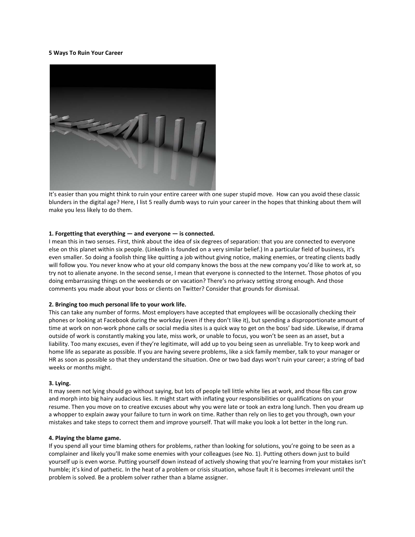## **5 Ways To Ruin Your Career**



It's easier than you might think to ruin your entire career with one super stupid move. How can you avoid these classic blunders in the digital age? Here, I list 5 really dumb ways to ruin your career in the hopes that thinking about them will make you less likely to do them.

# **1. Forgetting that everything — and everyone — is connected.**

I mean this in two senses. First, think about the idea of six degrees of separation: that you are connected to everyone else on this planet within six people. (LinkedIn is founded on a very similar belief.) In a particular field of business, it's even smaller. So doing a foolish thing like quitting a job without giving notice, making enemies, or treating clients badly will follow you. You never know who at your old company knows the boss at the new company you'd like to work at, so try not to alienate anyone. In the second sense, I mean that everyone is connected to the Internet. Those photos of you doing embarrassing things on the weekends or on vacation? There's no privacy setting strong enough. And those comments you made about your boss or clients on Twitter? Consider that grounds for dismissal.

### **2. Bringing too much personal life to your work life.**

This can take any number of forms. Most employers have accepted that employees will be occasionally checking their phones or looking at Facebook during the workday (even if they don't like it), but spending a disproportionate amount of time at work on non-work phone calls or social media sites is a quick way to get on the boss' bad side. Likewise, if drama outside of work is constantly making you late, miss work, or unable to focus, you won't be seen as an asset, but a liability. Too many excuses, even if they're legitimate, will add up to you being seen as unreliable. Try to keep work and home life as separate as possible. If you are having severe problems, like a sick family member, talk to your manager or HR as soon as possible so that they understand the situation. One or two bad days won't ruin your career; a string of bad weeks or months might.

### **3. Lying.**

It may seem not lying should go without saying, but lots of people tell little white lies at work, and those fibs can grow and morph into big hairy audacious lies. It might start with inflating your responsibilities or qualifications on your resume. Then you move on to creative excuses about why you were late or took an extra long lunch. Then you dream up a whopper to explain away your failure to turn in work on time. Rather than rely on lies to get you through, own your mistakes and take steps to correct them and improve yourself. That will make you look a lot better in the long run.

### **4. Playing the blame game.**

If you spend all your time blaming others for problems, rather than looking for solutions, you're going to be seen as a complainer and likely you'll make some enemies with your colleagues (see No. 1). Putting others down just to build yourself up is even worse. Putting yourself down instead of actively showing that you're learning from your mistakes isn't humble; it's kind of pathetic. In the heat of a problem or crisis situation, whose fault it is becomes irrelevant until the problem is solved. Be a problem solver rather than a blame assigner.